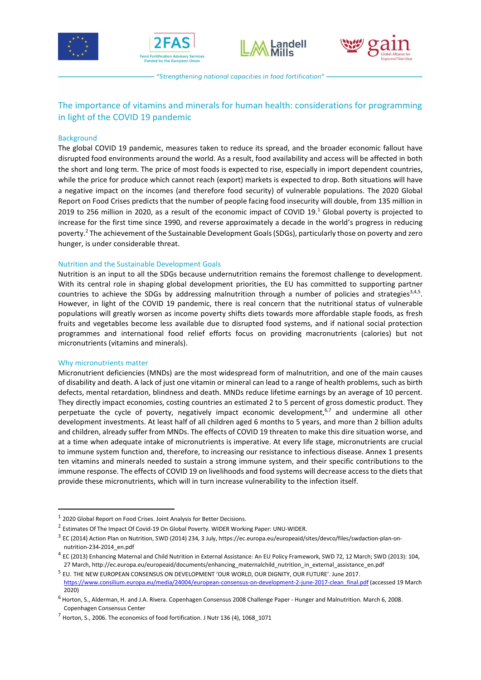







- "Strengthening national capacities in food fortification" -

# The importance of vitamins and minerals for human health: considerations for programming in light of the COVID 19 pandemic

# **Background**

The global COVID 19 pandemic, measures taken to reduce its spread, and the broader economic fallout have disrupted food environments around the world. As a result, food availability and access will be affected in both the short and long term. The price of most foods is expected to rise, especially in import dependent countries, while the price for produce which cannot reach (export) markets is expected to drop. Both situations will have a negative impact on the incomes (and therefore food security) of vulnerable populations. The 2020 Global Report on Food Crises predicts that the number of people facing food insecurity will double, from 135 million in 2019 to 256 million in 2020, as a result of the economic impact of COVID 19.<sup>1</sup> Global poverty is projected to increase for the first time since 1990, and reverse approximately a decade in the world's progress in reducing poverty.<sup>2</sup> The achievement of the Sustainable Development Goals (SDGs), particularly those on poverty and zero hunger, is under considerable threat.

# Nutrition and the Sustainable Development Goals

Nutrition is an input to all the SDGs because undernutrition remains the foremost challenge to development. With its central role in shaping global development priorities, the EU has committed to supporting partner countries to achieve the SDGs by addressing malnutrition through a number of policies and strategies<sup>3,4,5</sup>. However, in light of the COVID 19 pandemic, there is real concern that the nutritional status of vulnerable populations will greatly worsen as income poverty shifts diets towards more affordable staple foods, as fresh fruits and vegetables become less available due to disrupted food systems, and if national social protection programmes and international food relief efforts focus on providing macronutrients (calories) but not micronutrients (vitamins and minerals).

# Why micronutrients matter

-

Micronutrient deficiencies (MNDs) are the most widespread form of malnutrition, and one of the main causes of disability and death. A lack of just one vitamin or mineral can lead to a range of health problems, such as birth defects, mental retardation, blindness and death. MNDs reduce lifetime earnings by an average of 10 percent. They directly impact economies, costing countries an estimated 2 to 5 percent of gross domestic product. They perpetuate the cycle of poverty, negatively impact economic development,<sup>6,7</sup> and undermine all other development investments. At least half of all children aged 6 months to 5 years, and more than 2 billion adults and children, already suffer from MNDs. The effects of COVID 19 threaten to make this dire situation worse, and at a time when adequate intake of micronutrients is imperative. At every life stage, micronutrients are crucial to immune system function and, therefore, to increasing our resistance to infectious disease. Annex 1 presents ten vitamins and minerals needed to sustain a strong immune system, and their specific contributions to the immune response. The effects of COVID 19 on livelihoods and food systems will decrease access to the diets that provide these micronutrients, which will in turn increase vulnerability to the infection itself.

 $1$  2020 Global Report on Food Crises. Joint Analysis for Better Decisions.

<sup>2</sup> Estimates Of The Impact Of Covid-19 On Global Poverty. WIDER Working Paper: UNU-WIDER.

<sup>3</sup> EC (2014) Action Plan on Nutrition, SWD (2014) 234, 3 July, https://ec.europa.eu/europeaid/sites/devco/files/swdaction-plan-onnutrition-234-2014\_en.pdf

<sup>4</sup> EC (2013) Enhancing Maternal and Child Nutrition in External Assistance: An EU Policy Framework, SWD 72, 12 March; SWD (2013): 104, 27 March, http://ec.europa.eu/europeaid/documents/enhancing\_maternalchild\_nutrition\_in\_external\_assistance\_en.pdf

<sup>5</sup> EU. THE NEW EUROPEAN CONSENSUS ON DEVELOPMENT 'OUR WORLD, OUR DIGNITY, OUR FUTURE'. June 2017. https://www.consilium.europa.eu/media/24004/european-consensus-on-development-2-june-2017-clean\_final.pdf (accessed 19 March 2020)

<sup>&</sup>lt;sup>6</sup> Horton, S., Alderman, H. and J.A. Rivera. Copenhagen Consensus 2008 Challenge Paper - Hunger and Malnutrition. March 6, 2008. Copenhagen Consensus Center

 $<sup>7</sup>$  Horton, S., 2006. The economics of food fortification. J Nutr 136 (4), 1068 1071</sup>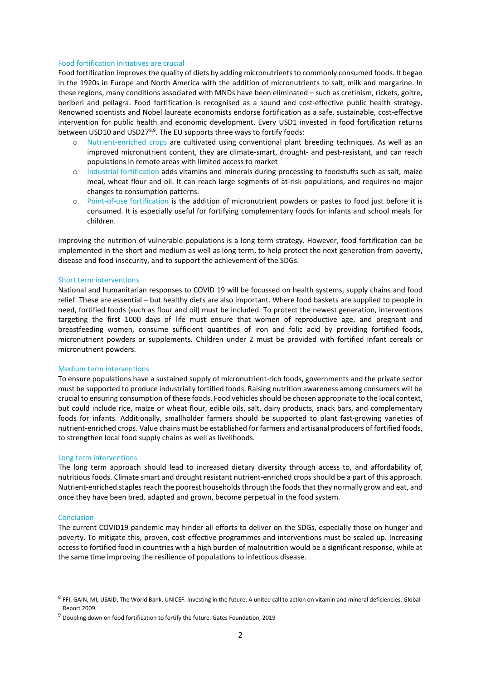### Food fortification initiatives are crucial

Food fortification improves the quality of diets by adding micronutrients to commonly consumed foods. It began in the 1920s in Europe and North America with the addition of micronutrients to salt, milk and margarine. In these regions, many conditions associated with MNDs have been eliminated – such as cretinism, rickets, goitre, beriberi and pellagra. Food fortification is recognised as a sound and cost-effective public health strategy. Renowned scientists and Nobel laureate economists endorse fortification as a safe, sustainable, cost-effective intervention for public health and economic development. Every USD1 invested in food fortification returns between USD10 and USD27<sup>8,9</sup>. The EU supports three ways to fortify foods:

- o Nutrient-enriched crops are cultivated using conventional plant breeding techniques. As well as an improved micronutrient content, they are climate-smart, drought- and pest-resistant, and can reach populations in remote areas with limited access to market
- o Industrial fortification adds vitamins and minerals during processing to foodstuffs such as salt, maize meal, wheat flour and oil. It can reach large segments of at-risk populations, and requires no major changes to consumption patterns.
- o Point-of-use fortification is the addition of micronutrient powders or pastes to food just before it is consumed. It is especially useful for fortifying complementary foods for infants and school meals for children.

Improving the nutrition of vulnerable populations is a long-term strategy. However, food fortification can be implemented in the short and medium as well as long term, to help protect the next generation from poverty, disease and food insecurity, and to support the achievement of the SDGs.

# Short term interventions

National and humanitarian responses to COVID 19 will be focussed on health systems, supply chains and food relief. These are essential – but healthy diets are also important. Where food baskets are supplied to people in need, fortified foods (such as flour and oil) must be included. To protect the newest generation, interventions targeting the first 1000 days of life must ensure that women of reproductive age, and pregnant and breastfeeding women, consume sufficient quantities of iron and folic acid by providing fortified foods, micronutrient powders or supplements. Children under 2 must be provided with fortified infant cereals or micronutrient powders.

### Medium term interventions

To ensure populations have a sustained supply of micronutrient-rich foods, governments and the private sector must be supported to produce industrially fortified foods. Raising nutrition awareness among consumers will be crucial to ensuring consumption of these foods. Food vehicles should be chosen appropriate to the local context, but could include rice, maize or wheat flour, edible oils, salt, dairy products, snack bars, and complementary foods for infants. Additionally, smallholder farmers should be supported to plant fast-growing varieties of nutrient-enriched crops. Value chains must be established for farmers and artisanal producers of fortified foods, to strengthen local food supply chains as well as livelihoods.

#### Long term interventions

The long term approach should lead to increased dietary diversity through access to, and affordability of, nutritious foods. Climate smart and drought resistant nutrient-enriched crops should be a part of this approach. Nutrient-enriched staples reach the poorest households through the foods that they normally grow and eat, and once they have been bred, adapted and grown, become perpetual in the food system.

### **Conclusion**

-

The current COVID19 pandemic may hinder all efforts to deliver on the SDGs, especially those on hunger and poverty. To mitigate this, proven, cost-effective programmes and interventions must be scaled up. Increasing access to fortified food in countries with a high burden of malnutrition would be a significant response, while at the same time improving the resilience of populations to infectious disease.

<sup>8</sup> FFI, GAIN, MI, USAID, The World Bank, UNICEF. Investing in the future; A united call to action on vitamin and mineral deficiencies. Global Report 2009.

<sup>9</sup> Doubling down on food fortification to fortify the future. Gates Foundation, 2019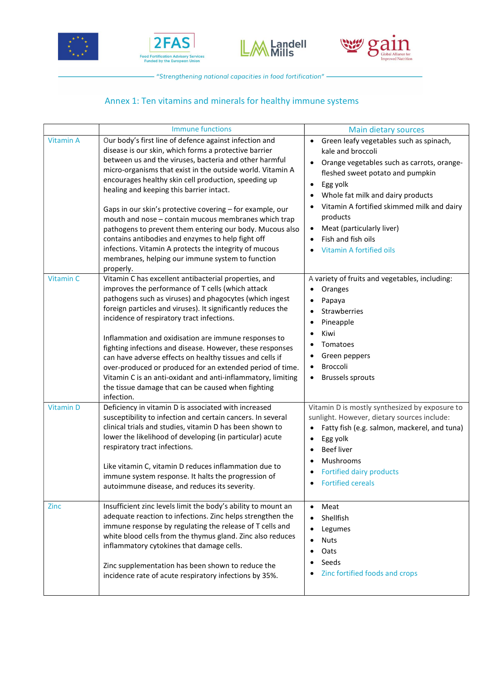







- "Strengthening national capacities in food fortification" –

# Annex 1: Ten vitamins and minerals for healthy immune systems

|                  | <b>Immune functions</b>                                                                                                                                                                                                                                                                                                                                                                                                                                                                                                                                                                                                                                                                                      | Main dietary sources                                                                                                                                                                                                                                                                                                                                                                   |
|------------------|--------------------------------------------------------------------------------------------------------------------------------------------------------------------------------------------------------------------------------------------------------------------------------------------------------------------------------------------------------------------------------------------------------------------------------------------------------------------------------------------------------------------------------------------------------------------------------------------------------------------------------------------------------------------------------------------------------------|----------------------------------------------------------------------------------------------------------------------------------------------------------------------------------------------------------------------------------------------------------------------------------------------------------------------------------------------------------------------------------------|
| <b>Vitamin A</b> | Our body's first line of defence against infection and<br>disease is our skin, which forms a protective barrier<br>between us and the viruses, bacteria and other harmful<br>micro-organisms that exist in the outside world. Vitamin A<br>encourages healthy skin cell production, speeding up<br>healing and keeping this barrier intact.<br>Gaps in our skin's protective covering - for example, our<br>mouth and nose - contain mucous membranes which trap<br>pathogens to prevent them entering our body. Mucous also<br>contains antibodies and enzymes to help fight off<br>infections. Vitamin A protects the integrity of mucous<br>membranes, helping our immune system to function<br>properly. | Green leafy vegetables such as spinach,<br>$\bullet$<br>kale and broccoli<br>Orange vegetables such as carrots, orange-<br>fleshed sweet potato and pumpkin<br>Egg yolk<br>$\bullet$<br>Whole fat milk and dairy products<br>Vitamin A fortified skimmed milk and dairy<br>products<br>Meat (particularly liver)<br>$\bullet$<br>Fish and fish oils<br><b>Vitamin A fortified oils</b> |
| <b>Vitamin C</b> | Vitamin C has excellent antibacterial properties, and<br>improves the performance of T cells (which attack<br>pathogens such as viruses) and phagocytes (which ingest<br>foreign particles and viruses). It significantly reduces the<br>incidence of respiratory tract infections.<br>Inflammation and oxidisation are immune responses to<br>fighting infections and disease. However, these responses<br>can have adverse effects on healthy tissues and cells if<br>over-produced or produced for an extended period of time.<br>Vitamin C is an anti-oxidant and anti-inflammatory, limiting<br>the tissue damage that can be caused when fighting<br>infection.                                        | A variety of fruits and vegetables, including:<br>Oranges<br>Papaya<br>Strawberries<br>Pineapple<br>Kiwi<br>Tomatoes<br>Green peppers<br>Broccoli<br><b>Brussels sprouts</b><br>$\bullet$                                                                                                                                                                                              |
| <b>Vitamin D</b> | Deficiency in vitamin D is associated with increased<br>susceptibility to infection and certain cancers. In several<br>clinical trials and studies, vitamin D has been shown to<br>lower the likelihood of developing (in particular) acute<br>respiratory tract infections.<br>Like vitamin C, vitamin D reduces inflammation due to<br>immune system response. It halts the progression of<br>autoimmune disease, and reduces its severity.                                                                                                                                                                                                                                                                | Vitamin D is mostly synthesized by exposure to<br>sunlight. However, dietary sources include:<br>Fatty fish (e.g. salmon, mackerel, and tuna)<br>$\bullet$<br>Egg yolk<br><b>Beef liver</b><br>$\bullet$<br>Mushrooms<br>Fortified dairy products<br><b>Fortified cereals</b>                                                                                                          |
| <b>Zinc</b>      | Insufficient zinc levels limit the body's ability to mount an<br>adequate reaction to infections. Zinc helps strengthen the<br>immune response by regulating the release of T cells and<br>white blood cells from the thymus gland. Zinc also reduces<br>inflammatory cytokines that damage cells.<br>Zinc supplementation has been shown to reduce the<br>incidence rate of acute respiratory infections by 35%.                                                                                                                                                                                                                                                                                            | Meat<br>$\bullet$<br>Shellfish<br>Legumes<br><b>Nuts</b><br>Oats<br>Seeds<br>Zinc fortified foods and crops                                                                                                                                                                                                                                                                            |